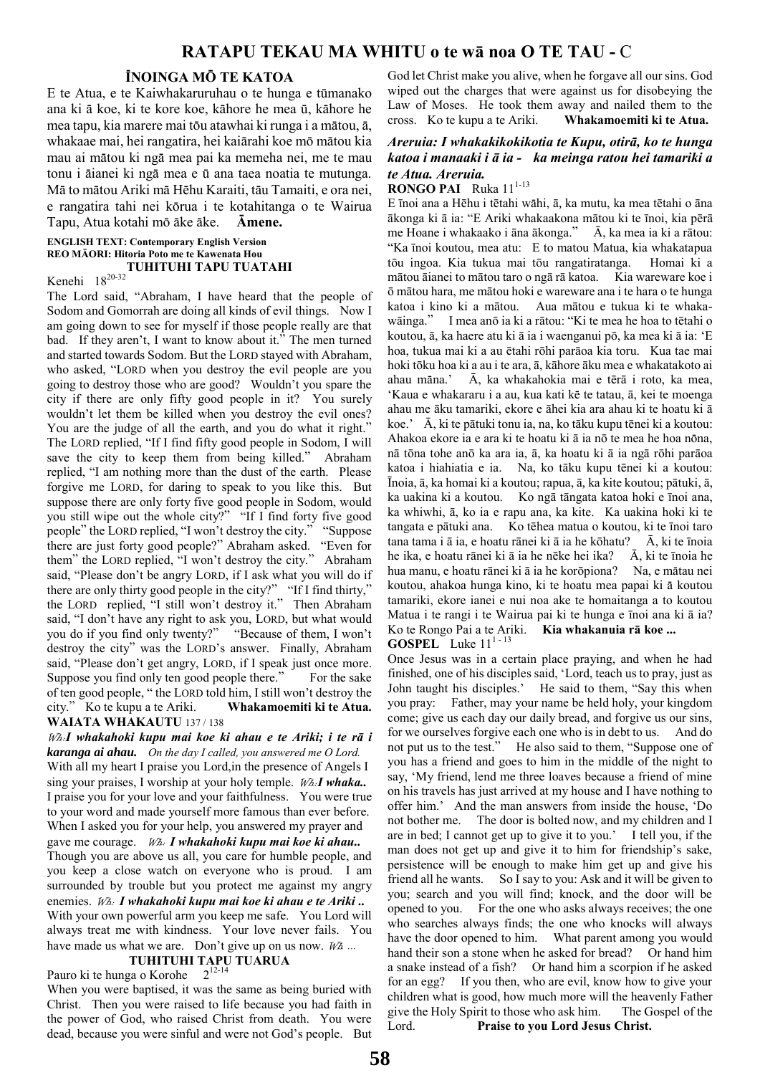# ÏNOINGA MÖ TE KATOA

E te Atua, e te Kaiwhakaruruhau o te hunga e tümanako ana ki ä koe, ki te kore koe, kähore he mea ü, kähore he mea tapu, kia marere mai töu atawhai ki runga i a mätou, ä, whakaae mai, hei rangatira, hei kaiärahi koe mö mätou kia mau ai mätou ki ngä mea pai ka memeha nei, me te mau tonu i äianei ki ngä mea e ü ana taea noatia te mutunga. Mä to mätou Ariki mä Hëhu Karaiti, täu Tamaiti, e ora nei, e rangatira tahi nei körua i te kotahitanga o te Wairua Tapu, Atua kotahi mö äke äke. Ämene.

## ENGLISH TEXT: Contemporary English Version REO M**ĀORI: Hitoria Poto me te Kawenata Hou** TUHITUHI TAPU TUATAHI

## Kenehi  $18^{20-32}$

The Lord said, "Abraham, I have heard that the people of Sodom and Gomorrah are doing all kinds of evil things. Now I am going down to see for myself if those people really are that bad. If they aren't, I want to know about it." The men turned and started towards Sodom. But the LORD stayed with Abraham, who asked, "LORD when you destroy the evil people are you going to destroy those who are good? Wouldn't you spare the city if there are only fifty good people in it? You surely wouldn't let them be killed when you destroy the evil ones? You are the judge of all the earth, and you do what it right." The LORD replied, "If I find fifty good people in Sodom, I will save the city to keep them from being killed." Abraham replied, "I am nothing more than the dust of the earth. Please forgive me LORD, for daring to speak to you like this. But suppose there are only forty five good people in Sodom, would you still wipe out the whole city?" "If I find forty five good people" the LORD replied, "I won't destroy the city." "Suppose there are just forty good people?" Abraham asked. "Even for them" the LORD replied, "I won't destroy the city." Abraham said, "Please don't be angry LORD, if I ask what you will do if there are only thirty good people in the city?" "If I find thirty," the LORD replied, "I still won't destroy it." Then Abraham said, "I don't have any right to ask you, LORD, but what would you do if you find only twenty?" "Because of them, I won't destroy the city" was the LORD's answer. Finally, Abraham said, "Please don't get angry, LORD, if I speak just once more. Suppose you find only ten good people there." For the sake of ten good people, " the LORD told him, I still won't destroy the city." Ko te kupu a te Ariki. Whakamoemiti ki te Atua. WAIATA WHAKAUTU 137/138

Wh:I whakahoki kupu mai koe ki ahau e te Ariki; i te r*ā i karanga ai ahau.* On the day I called, you answered me O Lord. With all my heart I praise you Lord, in the presence of Angels I sing your praises, I worship at your holy temple. What I whaka.. I praise you for your love and your faithfulness. You were true to your word and made yourself more famous than ever before. When I asked you for your help, you answered my prayer and

gave me courage. Whakahoki kupu mai koe ki ahau... Though you are above us all, you care for humble people, and you keep a close watch on everyone who is proud. I am surrounded by trouble but you protect me against my angry enemies. W. I whakahoki kupu mai koe ki ahau e te Ariki.. With your own powerful arm you keep me safe. You Lord will always treat me with kindness. Your love never fails. You have made us what we are. Don't give up on us now.  $W\Lambda$  ...

# TUHITUHI TAPU TUARUA

Pauro ki te hunga o Korohe  $2^{12-14}$ 

When you were baptised, it was the same as being buried with Christ. Then you were raised to life because you had faith in the power of God, who raised Christ from death. You were dead, because you were sinful and were not God's people. But God let Christ make you alive, when he forgave all our sins. God wiped out the charges that were against us for disobeying the Law of Moses. He took them away and nailed them to the cross. Ko te kupu a te Ariki. Whakamoemiti ki te Atua.

## Areruia: I whakakikokikotia te Kupu, otirä, ko te hunga katoa i manaaki i *ā* ia - ka meinga ratou hei tamariki a te Atua. Areruia.

## RONGO PAI Ruka 11<sup>1-13</sup>

E īnoi ana a Hēhu i tētahi wähi, ā, ka mutu, ka mea tētahi o āna ākonga ki ā ia: "E Ariki whakaakona mātou ki te īnoi, kia pērā me Hoane i whakaako i āna ākonga." Ā, ka mea ia ki a rātou: "Ka īnoi koutou, mea atu: E to matou Matua, kia whakatapua tōu ingoa. Kia tukua mai tōu rangatiratanga. Homai ki a mātou āianei to mātou taro o ngā rā katoa. Kia wareware koe i ō mātou hara, me mātou hoki e wareware ana i te hara o te hunga katoa i kino ki a mātou. Aua mātou e tukua ki te whakawāinga." I mea anō ia ki a rātou: "Ki te mea he hoa to tētahi o koutou, ā, ka haere atu ki ā ia i waenganui pō, ka mea ki ā ia: 'E hoa, tukua mai ki a au ētahi rōhi parāoa kia toru. Kua tae mai hoki tōku hoa ki a au i te ara, ā, kāhore āku mea e whakatakoto ai ahau mäna.' Ā, ka whakahokia mai e tērā i roto, ka mea, 'Kaua e whakararu i a au, kua kati kë te tatau, ā, kei te moenga ahau me āku tamariki, ekore e āhei kia ara ahau ki te hoatu ki ā koe.' Ā, ki te pātuki tonu ia, na, ko tāku kupu tēnei ki a koutou: Ahakoa ekore ia e ara ki te hoatu ki ā ia nō te mea he hoa nöna, nā tōna tohe anō ka ara ia, ā, ka hoatu ki ā ia ngā rōhi parāoa katoa i hiahiatia e ia. Na, ko tāku kupu tēnei ki a koutou: Īnoia, ā, ka homai ki a koutou; rapua, ā, ka kite koutou; pātuki, ā, ka uakina ki a koutou. Ko ngā tāngata katoa hoki e īnoi ana, ka whiwhi, ā, ko ia e rapu ana, ka kite. Ka uakina hoki ki te tangata e pātuki ana. Ko tēhea matua o koutou, ki te īnoi taro tana tama i ā ia, e hoatu rānei ki ā ia he kōhatu?  $\bar{A}$ , ki te īnoia he ika, e hoatu rānei ki ā ia he nēke hei ika? Ā, ki te īnoia he hua manu, e hoatu rānei ki ā ia he korōpiona? Na, e mātau nei koutou, ahakoa hunga kino, ki te hoatu mea papai ki ä koutou tamariki, ekore ianei e nui noa ake te homaitanga a to koutou Matua i te rangi i te Wairua pai ki te hunga e īnoi ana ki ā ia? Ko te Rongo Pai a te Ariki. Kia whakanuia r**ā koe ... GOSPEL** Luke  $11^{1-13}$ 

Once Jesus was in a certain place praying, and when he had finished, one of his disciples said, 'Lord, teach us to pray, just as John taught his disciples.' He said to them, "Say this when you pray: Father, may your name be held holy, your kingdom come; give us each day our daily bread, and forgive us our sins, for we ourselves forgive each one who is in debt to us. And do not put us to the test." He also said to them, "Suppose one of you has a friend and goes to him in the middle of the night to say, 'My friend, lend me three loaves because a friend of mine on his travels has just arrived at my house and I have nothing to offer him.' And the man answers from inside the house, 'Do not bother me. The door is bolted now, and my children and I are in bed; I cannot get up to give it to you.' I tell you, if the man does not get up and give it to him for friendship's sake, persistence will be enough to make him get up and give his friend all he wants. So I say to you: Ask and it will be given to you; search and you will find; knock, and the door will be opened to you. For the one who asks always receives; the one who searches always finds; the one who knocks will always have the door opened to him. What parent among you would hand their son a stone when he asked for bread? Or hand him a snake instead of a fish? Or hand him a scorpion if he asked for an egg? If you then, who are evil, know how to give your children what is good, how much more will the heavenly Father give the Holy Spirit to those who ask him. The Gospel of the Lord. Praise to you Lord Jesus Christ.